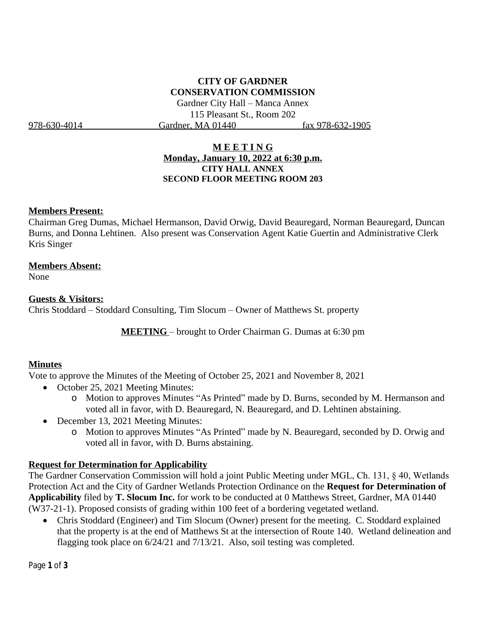# **CITY OF GARDNER CONSERVATION COMMISSION**

Gardner City Hall – Manca Annex 115 Pleasant St., Room 202 978-630-4014 Gardner, MA 01440 fax 978-632-1905

### **M E E T I N G Monday, January 10, 2022 at 6:30 p.m. CITY HALL ANNEX SECOND FLOOR MEETING ROOM 203**

### **Members Present:**

Chairman Greg Dumas, Michael Hermanson, David Orwig, David Beauregard, Norman Beauregard, Duncan Burns, and Donna Lehtinen. Also present was Conservation Agent Katie Guertin and Administrative Clerk Kris Singer

### **Members Absent:**

None

### **Guests & Visitors:**

Chris Stoddard – Stoddard Consulting, Tim Slocum – Owner of Matthews St. property

**MEETING** – brought to Order Chairman G. Dumas at 6:30 pm

### **Minutes**

Vote to approve the Minutes of the Meeting of October 25, 2021 and November 8, 2021

- October 25, 2021 Meeting Minutes:
	- o Motion to approves Minutes "As Printed" made by D. Burns, seconded by M. Hermanson and voted all in favor, with D. Beauregard, N. Beauregard, and D. Lehtinen abstaining.
- December 13, 2021 Meeting Minutes:
	- o Motion to approves Minutes "As Printed" made by N. Beauregard, seconded by D. Orwig and voted all in favor, with D. Burns abstaining.

### **Request for Determination for Applicability**

The Gardner Conservation Commission will hold a joint Public Meeting under MGL, Ch. 131, § 40, Wetlands Protection Act and the City of Gardner Wetlands Protection Ordinance on the **Request for Determination of Applicability** filed by **T. Slocum Inc.** for work to be conducted at 0 Matthews Street, Gardner, MA 01440 (W37-21-1). Proposed consists of grading within 100 feet of a bordering vegetated wetland.

 Chris Stoddard (Engineer) and Tim Slocum (Owner) present for the meeting. C. Stoddard explained that the property is at the end of Matthews St at the intersection of Route 140. Wetland delineation and flagging took place on 6/24/21 and 7/13/21. Also, soil testing was completed.

Page **1** of **3**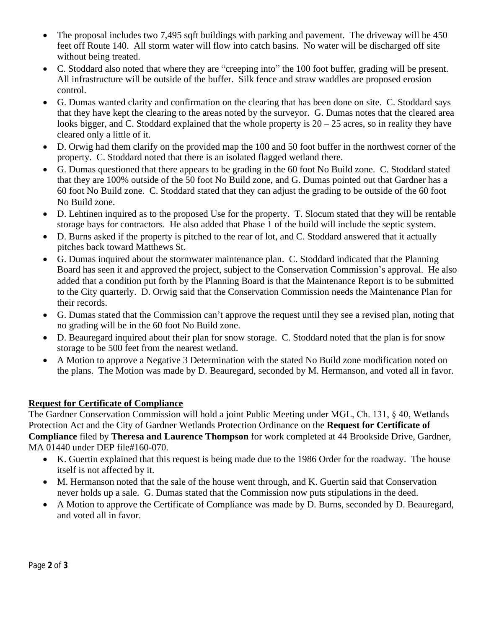- The proposal includes two 7,495 sqft buildings with parking and pavement. The driveway will be 450 feet off Route 140. All storm water will flow into catch basins. No water will be discharged off site without being treated.
- C. Stoddard also noted that where they are "creeping into" the 100 foot buffer, grading will be present. All infrastructure will be outside of the buffer. Silk fence and straw waddles are proposed erosion control.
- G. Dumas wanted clarity and confirmation on the clearing that has been done on site. C. Stoddard says that they have kept the clearing to the areas noted by the surveyor. G. Dumas notes that the cleared area looks bigger, and C. Stoddard explained that the whole property is  $20 - 25$  acres, so in reality they have cleared only a little of it.
- D. Orwig had them clarify on the provided map the 100 and 50 foot buffer in the northwest corner of the property. C. Stoddard noted that there is an isolated flagged wetland there.
- G. Dumas questioned that there appears to be grading in the 60 foot No Build zone. C. Stoddard stated that they are 100% outside of the 50 foot No Build zone, and G. Dumas pointed out that Gardner has a 60 foot No Build zone. C. Stoddard stated that they can adjust the grading to be outside of the 60 foot No Build zone.
- D. Lehtinen inquired as to the proposed Use for the property. T. Slocum stated that they will be rentable storage bays for contractors. He also added that Phase 1 of the build will include the septic system.
- D. Burns asked if the property is pitched to the rear of lot, and C. Stoddard answered that it actually pitches back toward Matthews St.
- G. Dumas inquired about the stormwater maintenance plan. C. Stoddard indicated that the Planning Board has seen it and approved the project, subject to the Conservation Commission's approval. He also added that a condition put forth by the Planning Board is that the Maintenance Report is to be submitted to the City quarterly. D. Orwig said that the Conservation Commission needs the Maintenance Plan for their records.
- G. Dumas stated that the Commission can't approve the request until they see a revised plan, noting that no grading will be in the 60 foot No Build zone.
- D. Beauregard inquired about their plan for snow storage. C. Stoddard noted that the plan is for snow storage to be 500 feet from the nearest wetland.
- A Motion to approve a Negative 3 Determination with the stated No Build zone modification noted on the plans. The Motion was made by D. Beauregard, seconded by M. Hermanson, and voted all in favor.

## **Request for Certificate of Compliance**

The Gardner Conservation Commission will hold a joint Public Meeting under MGL, Ch. 131, § 40, Wetlands Protection Act and the City of Gardner Wetlands Protection Ordinance on the **Request for Certificate of Compliance** filed by **Theresa and Laurence Thompson** for work completed at 44 Brookside Drive, Gardner, MA 01440 under DEP file#160-070.

- K. Guertin explained that this request is being made due to the 1986 Order for the roadway. The house itself is not affected by it.
- M. Hermanson noted that the sale of the house went through, and K. Guertin said that Conservation never holds up a sale. G. Dumas stated that the Commission now puts stipulations in the deed.
- A Motion to approve the Certificate of Compliance was made by D. Burns, seconded by D. Beauregard, and voted all in favor.